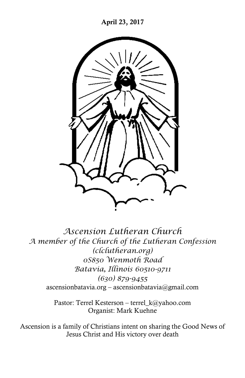

*Ascension Lutheran Church A member of the Church of the Lutheran Confession (clclutheran.org) 0S850 Wenmoth Road Batavia, Illinois 60510-9711 (630) 879-9455* ascensionbatavia.org – ascensionbatavia@gmail.com

> Pastor: Terrel Kesterson – [terrel\\_k@yahoo.com](mailto:terrel_k@yahoo.com) Organist: Mark Kuehne

Ascension is a family of Christians intent on sharing the Good News of Jesus Christ and His victory over death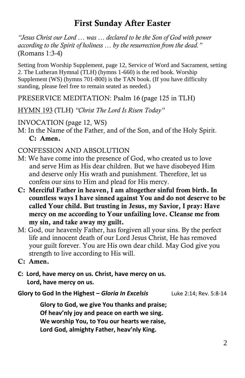# **First Sunday After Easter**

*"Jesus Christ our Lord … was … declared to be the Son of God with power according to the Spirit of holiness … by the resurrection from the dead."* (Romans 1:3-4)

Setting from Worship Supplement, page 12, Service of Word and Sacrament, setting 2. The Lutheran Hymnal (TLH) (hymns 1-660) is the red book. Worship Supplement (WS) (hymns 701-800) is the TAN book. (If you have difficulty standing, please feel free to remain seated as needed.)

PRESERVICE MEDITATION: Psalm 16 (page 125 in TLH)

HYMN 193 (TLH) *"Christ The Lord Is Risen Today"*

INVOCATION (page 12, WS)

M: In the Name of the Father, and of the Son, and of the Holy Spirit. **C: Amen.**

## CONFESSION AND ABSOLUTION

- M: We have come into the presence of God, who created us to love and serve Him as His dear children. But we have disobeyed Him and deserve only His wrath and punishment. Therefore, let us confess our sins to Him and plead for His mercy.
- **C: Merciful Father in heaven, I am altogether sinful from birth. In countless ways I have sinned against You and do not deserve to be called Your child. But trusting in Jesus, my Savior, I pray: Have mercy on me according to Your unfailing love. Cleanse me from my sin, and take away my guilt.**
- M: God, our heavenly Father, has forgiven all your sins. By the perfect life and innocent death of our Lord Jesus Christ, He has removed your guilt forever. You are His own dear child. May God give you strength to live according to His will.
- **C: Amen.**
- **C: Lord, have mercy on us. Christ, have mercy on us. Lord, have mercy on us.**
- **Glory to God In the Highest –** *Gloria In Excelsis* Luke 2:14; Rev. 5:8-14

**Glory to God, we give You thanks and praise; Of heav'nly joy and peace on earth we sing. We worship You, to You our hearts we raise, Lord God, almighty Father, heav'nly King.**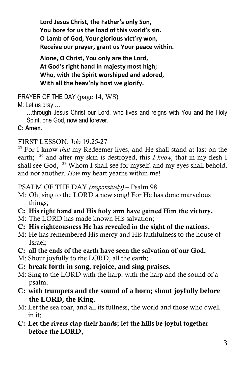**Lord Jesus Christ, the Father's only Son, You bore for us the load of this world's sin. O Lamb of God, Your glorious vict'ry won, Receive our prayer, grant us Your peace within.**

**Alone, O Christ, You only are the Lord, At God's right hand in majesty most high; Who, with the Spirit worshiped and adored, With all the heav'nly host we glorify.**

PRAYER OF THE DAY (page 14, WS)

# M: Let us pray …

…through Jesus Christ our Lord, who lives and reigns with You and the Holy Spirit, one God, now and forever.

# **C: Amen.**

FIRST LESSON: Job 19:25-27

<sup>25</sup> For I know *that* my Redeemer lives, and He shall stand at last on the earth; <sup>26</sup> and after my skin is destroyed, this *I know,* that in my flesh I shall see God, <sup>27</sup> Whom I shall see for myself, and my eyes shall behold, and not another. *How* my heart yearns within me!

## PSALM OF THE DAY *(responsively)* – Psalm 98

- M: Oh, sing to the LORD a new song! For He has done marvelous things;
- **C: His right hand and His holy arm have gained Him the victory.**
- M: The LORD has made known His salvation;
- **C: His righteousness He has revealed in the sight of the nations.**
- M: He has remembered His mercy and His faithfulness to the house of Israel;
- **C: all the ends of the earth have seen the salvation of our God.**
- M: Shout joyfully to the LORD, all the earth;
- **C: break forth in song, rejoice, and sing praises.**
- M: Sing to the LORD with the harp, with the harp and the sound of a psalm,
- **C: with trumpets and the sound of a horn; shout joyfully before the LORD, the King.**
- M: Let the sea roar, and all its fullness, the world and those who dwell in it;
- **C: Let the rivers clap their hands; let the hills be joyful together before the LORD,**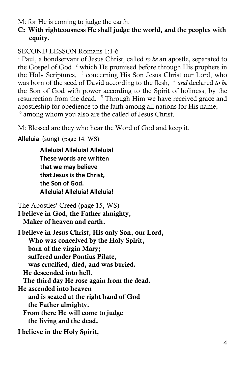M: for He is coming to judge the earth.

## **C: With righteousness He shall judge the world, and the peoples with equity.**

SECOND LESSON Romans 1:1-6

<sup>1</sup> Paul, a bondservant of Jesus Christ, called *to be* an apostle, separated to the Gospel of God $^2$  which He promised before through His prophets in the Holy Scriptures, <sup>3</sup> concerning His Son Jesus Christ our Lord, who was born of the seed of David according to the flesh, <sup>4</sup> and declared to be the Son of God with power according to the Spirit of holiness, by the resurrection from the dead. <sup>5</sup> Through Him we have received grace and apostleship for obedience to the faith among all nations for His name,

<sup>6</sup> among whom you also are the called of Jesus Christ.

M: Blessed are they who hear the Word of God and keep it.

**Alleluia** (sung) (page 14, WS)

**Alleluia! Alleluia! Alleluia! These words are written that we may believe that Jesus is the Christ, the Son of God. Alleluia! Alleluia! Alleluia!**

The Apostles' Creed (page 15, WS) **I believe in God, the Father almighty, Maker of heaven and earth.** 

**I believe in Jesus Christ, His only Son, our Lord, Who was conceived by the Holy Spirit, born of the virgin Mary; suffered under Pontius Pilate, was crucified, died, and was buried. He descended into hell. The third day He rose again from the dead. He ascended into heaven and is seated at the right hand of God the Father almighty. From there He will come to judge the living and the dead.**

**I believe in the Holy Spirit,**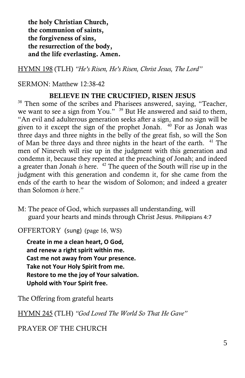**the holy Christian Church, the communion of saints, the forgiveness of sins, the resurrection of the body, and the life everlasting. Amen.**

HYMN 198 (TLH) *"He's Risen, He's Risen, Christ Jesus, The Lord"*

### SERMON: Matthew 12:38-42

### **BELIEVE IN THE CRUCIFIED, RISEN JESUS**

<sup>38</sup> Then some of the scribes and Pharisees answered, saying, "Teacher, we want to see a sign from You." <sup>39</sup> But He answered and said to them, "An evil and adulterous generation seeks after a sign, and no sign will be given to it except the sign of the prophet Jonah. <sup>40</sup> For as Jonah was three days and three nights in the belly of the great fish, so will the Son of Man be three days and three nights in the heart of the earth. <sup>41</sup> The men of Nineveh will rise up in the judgment with this generation and condemn it, because they repented at the preaching of Jonah; and indeed a greater than Jonah *is* here. <sup>42</sup> The queen of the South will rise up in the judgment with this generation and condemn it, for she came from the ends of the earth to hear the wisdom of Solomon; and indeed a greater than Solomon *is* here."

M: The peace of God, which surpasses all understanding, will guard your hearts and minds through Christ Jesus. Philippians 4:7

OFFERTORY (sung) (page 16, WS)

**Create in me a clean heart, O God, and renew a right spirit within me. Cast me not away from Your presence. Take not Your Holy Spirit from me. Restore to me the joy of Your salvation. Uphold with Your Spirit free.**

The Offering from grateful hearts

HYMN 245 (TLH) *"God Loved The World So That He Gave"*

## PRAYER OF THE CHURCH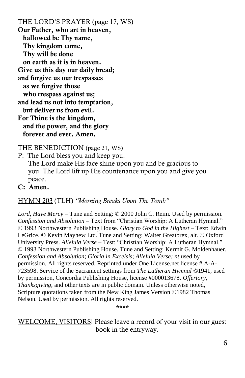THE LORD'S PRAYER (page 17, WS) **Our Father, who art in heaven, hallowed be Thy name, Thy kingdom come, Thy will be done on earth as it is in heaven. Give us this day our daily bread; and forgive us our trespasses as we forgive those who trespass against us; and lead us not into temptation, but deliver us from evil. For Thine is the kingdom, and the power, and the glory forever and ever. Amen.**

THE BENEDICTION (page 21, WS)

P: The Lord bless you and keep you. The Lord make His face shine upon you and be gracious to you. The Lord lift up His countenance upon you and give you peace.

#### **C: Amen.**

#### HYMN 203 (TLH) *"Morning Breaks Upon The Tomb"*

*Lord, Have Mercy* – Tune and Setting: © 2000 John C. Reim. Used by permission. *Confession and Absolution* – Text from "Christian Worship: A Lutheran Hymnal." © 1993 Northwestern Publishing House. *Glory to God in the Highest* – Text: Edwin LeGrice. © Kevin Mayhew Ltd. Tune and Setting: Walter Greatorex, alt. © Oxford University Press. *Alleluia Verse* – Test: "Christian Worship: A Lutheran Hymnal." © 1993 Northwestern Publishing House. Tune and Setting: Kermit G. Moldenhauer. *Confession and Absolution*; *Gloria in Excelsis*; *Alleluia Verse; nt* used by permission. All rights reserved. Reprinted under One License.net license # A-A-723598. Service of the Sacrament settings from *The Lutheran Hymnal* ©1941, used by permission, Concordia Publishing House, license #000013678. *Offertory, Thanksgiving, and other texts are in public domain. Unless otherwise noted,* Scripture quotations taken from the New King James Version ©1982 Thomas Nelson. Used by permission. All rights reserved.

\*\*\*\*

WELCOME, VISITORS! Please leave a record of your visit in our guest book in the entryway.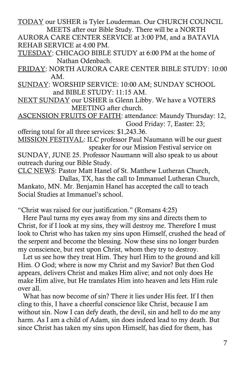TODAY our USHER is Tyler Louderman. Our CHURCH COUNCIL MEETS after our Bible Study. There will be a NORTH

AURORA CARE CENTER SERVICE at 3:00 PM, and a BATAVIA REHAB SERVICE at 4:00 PM.

TUESDAY: CHICAGO BIBLE STUDY at 6:00 PM at the home of Nathan Odenbach.

FRIDAY: NORTH AURORA CARE CENTER BIBLE STUDY: 10:00 AM.

SUNDAY: WORSHIP SERVICE: 10:00 AM; SUNDAY SCHOOL and BIBLE STUDY: 11:15 AM.

NEXT SUNDAY our USHER is Glenn Libby. We have a VOTERS MEETING after church.

ASCENSION FRUITS OF FAITH: attendance: Maundy Thursday: 12, Good Friday: 7, Easter: 23;

offering total for all three services: \$1,243.36.

MISSION FESTIVAL: ILC professor Paul Naumann will be our guest speaker for our Mission Festival service on

SUNDAY, JUNE 25. Professor Naumann will also speak to us about outreach during our Bible Study.

CLC NEWS: Pastor Matt Hanel of St. Matthew Lutheran Church, Dallas, TX, has the call to Immanuel Lutheran Church, Mankato, MN. Mr. Benjamin Hanel has accepted the call to teach Social Studies at Immanuel's school.

"Christ was raised for our justification." (Romans 4:25)

 Here Paul turns my eyes away from my sins and directs them to Christ, for if I look at my sins, they will destroy me. Therefore I must look to Christ who has taken my sins upon Himself, crushed the head of the serpent and become the blessing. Now these sins no longer burden my conscience, but rest upon Christ, whom they try to destroy.

 Let us see how they treat Him. They hurl Him to the ground and kill Him. O God; where is now my Christ and my Savior? But then God appears, delivers Christ and makes Him alive; and not only does He make Him alive, but He translates Him into heaven and lets Him rule over all.

What has now become of sin? There it lies under His feet. If I then cling to this, I have a cheerful conscience like Christ, because I am without sin. Now I can defy death, the devil, sin and hell to do me any harm. As I am a child of Adam, sin does indeed lead to my death. But since Christ has taken my sins upon Himself, has died for them, has